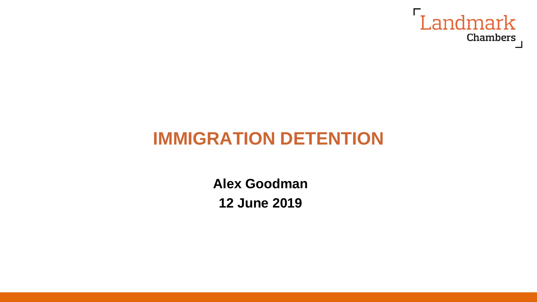

## **IMMIGRATION DETENTION**

**Alex Goodman 12 June 2019**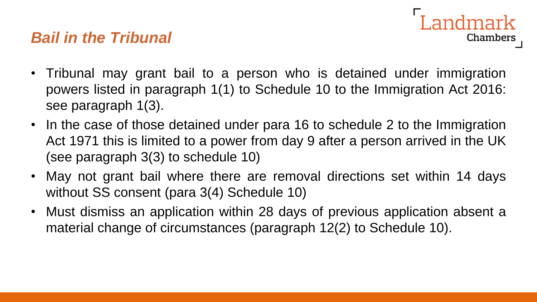## *Bail in the Tribunal*

- andmark Chambers
- Tribunal may grant bail to a person who is detained under immigration powers listed in paragraph 1(1) to Schedule 10 to the Immigration Act 2016: see paragraph 1(3).
- In the case of those detained under para 16 to schedule 2 to the Immigration Act 1971 this is limited to a power from day 9 after a person arrived in the UK (see paragraph 3(3) to schedule 10)
- May not grant bail where there are removal directions set within 14 days without SS consent (para 3(4) Schedule 10)
- Must dismiss an application within 28 days of previous application absent a material change of circumstances (paragraph 12(2) to Schedule 10).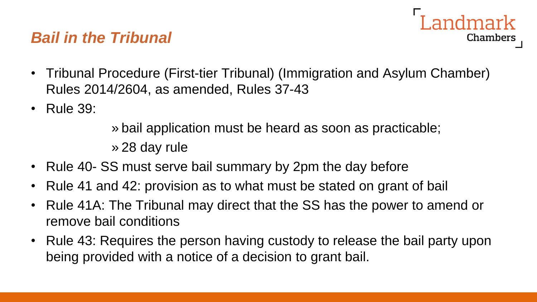## *Bail in the Tribunal*



- Tribunal Procedure (First-tier Tribunal) (Immigration and Asylum Chamber) Rules 2014/2604, as amended, Rules 37-43
- Rule 39:

» bail application must be heard as soon as practicable; » 28 day rule

- Rule 40- SS must serve bail summary by 2pm the day before
	- Rule 41 and 42: provision as to what must be stated on grant of bail
	- Rule 41A: The Tribunal may direct that the SS has the power to amend or remove bail conditions
	- Rule 43: Requires the person having custody to release the bail party upon being provided with a notice of a decision to grant bail.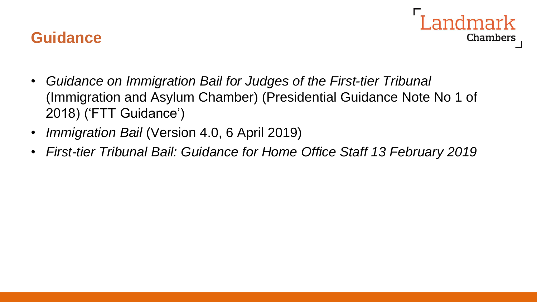#### **Guidance**



- *Guidance on Immigration Bail for Judges of the First-tier Tribunal*  (Immigration and Asylum Chamber) (Presidential Guidance Note No 1 of 2018) ('FTT Guidance')
- *Immigration Bail* (Version 4.0, 6 April 2019)
- *First-tier Tribunal Bail: Guidance for Home Office Staff 13 February 2019*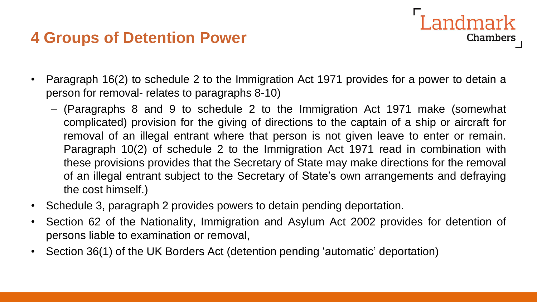## **4 Groups of Detention Power**

• Paragraph 16(2) to schedule 2 to the Immigration Act 1971 provides for a power to detain a person for removal- relates to paragraphs 8-10)

Landmark

- (Paragraphs 8 and 9 to schedule 2 to the Immigration Act 1971 make (somewhat complicated) provision for the giving of directions to the captain of a ship or aircraft for removal of an illegal entrant where that person is not given leave to enter or remain. Paragraph 10(2) of schedule 2 to the Immigration Act 1971 read in combination with these provisions provides that the Secretary of State may make directions for the removal of an illegal entrant subject to the Secretary of State's own arrangements and defraying the cost himself.)
- Schedule 3, paragraph 2 provides powers to detain pending deportation.
- Section 62 of the Nationality, Immigration and Asylum Act 2002 provides for detention of persons liable to examination or removal,
- Section 36(1) of the UK Borders Act (detention pending 'automatic' deportation)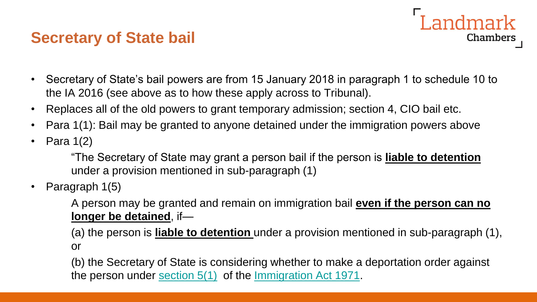### **Secretary of State bail**

- Landmark Chambers
- Secretary of State's bail powers are from 15 January 2018 in paragraph 1 to schedule 10 to the IA 2016 (see above as to how these apply across to Tribunal).
- Replaces all of the old powers to grant temporary admission; section 4, CIO bail etc.
- Para 1(1): Bail may be granted to anyone detained under the immigration powers above
- Para 1(2)

"The Secretary of State may grant a person bail if the person is **liable to detention**  under a provision mentioned in sub-paragraph (1)

• Paragraph 1(5)

A person may be granted and remain on immigration bail **even if the person can no longer be detained**, if—

(a) the person is **liable to detention** under a provision mentioned in sub-paragraph (1), or

(b) the Secretary of State is considering whether to make a deportation order against the person under [section 5\(1\)](https://login.westlaw.co.uk/maf/wluk/app/document?src=doc&linktype=ref&context=71&crumb-action=replace&docguid=I0D5E4B80E44911DA8D70A0E70A78ED65) of the [Immigration Act 1971](https://login.westlaw.co.uk/maf/wluk/app/document?src=doc&linktype=ref&context=71&crumb-action=replace&docguid=I60612B20E42311DAA7CF8F68F6EE57AB).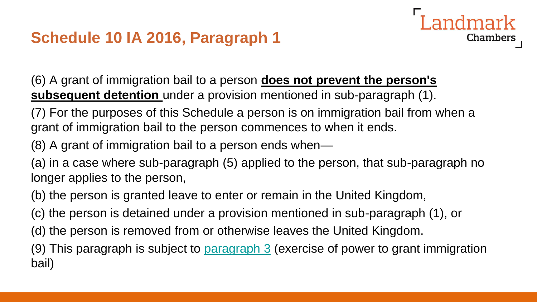

(6) A grant of immigration bail to a person **does not prevent the person's subsequent detention** under a provision mentioned in sub-paragraph (1).

(7) For the purposes of this Schedule a person is on immigration bail from when a grant of immigration bail to the person commences to when it ends.

(8) A grant of immigration bail to a person ends when—

(a) in a case where sub-paragraph (5) applied to the person, that sub-paragraph no longer applies to the person,

(b) the person is granted leave to enter or remain in the United Kingdom,

(c) the person is detained under a provision mentioned in sub-paragraph (1), or

(d) the person is removed from or otherwise leaves the United Kingdom.

(9) This paragraph is subject to **[paragraph 3](https://login.westlaw.co.uk/maf/wluk/app/document?src=doc&linktype=ref&context=71&crumb-action=replace&docguid=I105B00701D7411E69336B7010E56BFEF)** (exercise of power to grant immigration bail)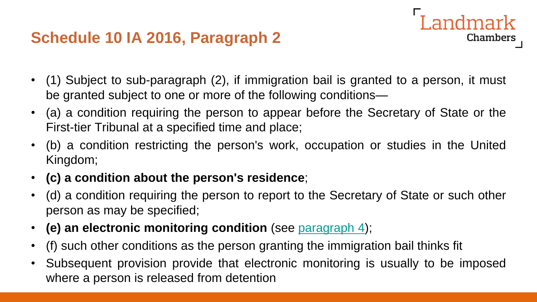## **Schedule 10 IA 2016, Paragraph 2**

• (1) Subject to sub-paragraph (2), if immigration bail is granted to a person, it must be granted subject to one or more of the following conditions—

andmark

- (a) a condition requiring the person to appear before the Secretary of State or the First-tier Tribunal at a specified time and place;
- (b) a condition restricting the person's work, occupation or studies in the United Kingdom;
- **(c) a condition about the person's residence**;
- (d) a condition requiring the person to report to the Secretary of State or such other person as may be specified;
- **(e) an electronic monitoring condition** (see [paragraph](https://login.westlaw.co.uk/maf/wluk/app/document?src=doc&linktype=ref&context=73&crumb-action=replace&docguid=I2F5573C01D7411E69336B7010E56BFEF) 4);
- (f) such other conditions as the person granting the immigration bail thinks fit
- Subsequent provision provide that electronic monitoring is usually to be imposed where a person is released from detention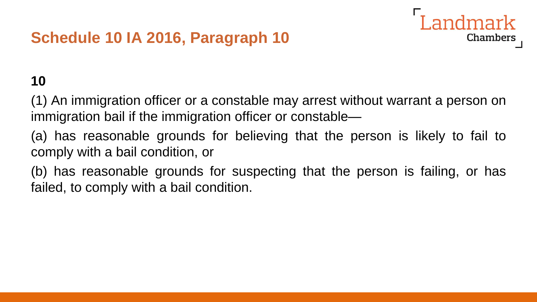

## **10**

(1) An immigration officer or a constable may arrest without warrant a person on immigration bail if the immigration officer or constable—

(a) has reasonable grounds for believing that the person is likely to fail to comply with a bail condition, or

(b) has reasonable grounds for suspecting that the person is failing, or has failed, to comply with a bail condition.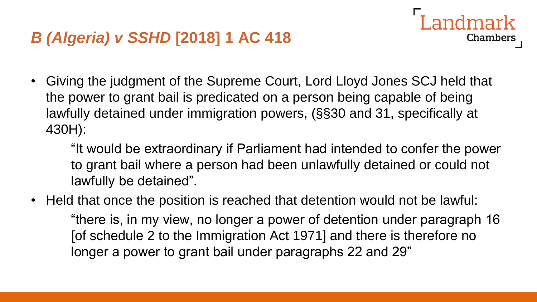• Giving the judgment of the Supreme Court, Lord Lloyd Jones SCJ held that the power to grant bail is predicated on a person being capable of being lawfully detained under immigration powers, (§§30 and 31, specifically at 430H):

"It would be extraordinary if Parliament had intended to confer the power to grant bail where a person had been unlawfully detained or could not lawfully be detained".

Landmark

**Chambers** 

• Held that once the position is reached that detention would not be lawful: "there is, in my view, no longer a power of detention under paragraph 16 [of schedule 2 to the Immigration Act 1971] and there is therefore no longer a power to grant bail under paragraphs 22 and 29"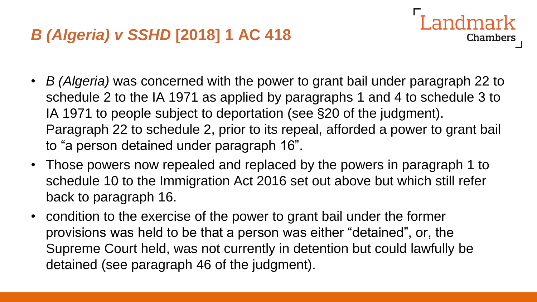• *B (Algeria)* was concerned with the power to grant bail under paragraph 22 to schedule 2 to the IA 1971 as applied by paragraphs 1 and 4 to schedule 3 to IA 1971 to people subject to deportation (see §20 of the judgment). Paragraph 22 to schedule 2, prior to its repeal, afforded a power to grant bail to "a person detained under paragraph 16".

ndmark

- Those powers now repealed and replaced by the powers in paragraph 1 to schedule 10 to the Immigration Act 2016 set out above but which still refer back to paragraph 16.
- condition to the exercise of the power to grant bail under the former provisions was held to be that a person was either "detained", or, the Supreme Court held, was not currently in detention but could lawfully be detained (see paragraph 46 of the judgment).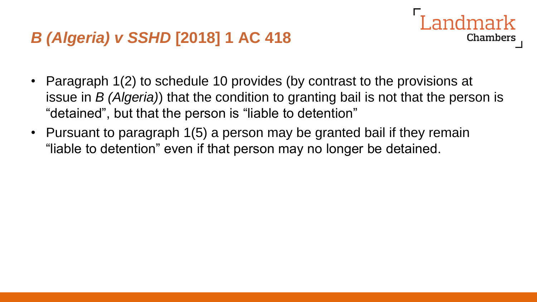• Paragraph 1(2) to schedule 10 provides (by contrast to the provisions at issue in *B (Algeria)*) that the condition to granting bail is not that the person is "detained", but that the person is "liable to detention"

Chambers

• Pursuant to paragraph 1(5) a person may be granted bail if they remain "liable to detention" even if that person may no longer be detained.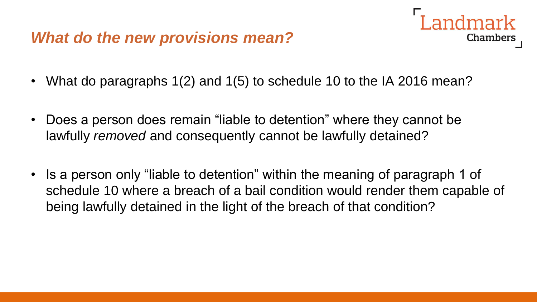#### *What do the new provisions mean?*

- **Chambers**
- What do paragraphs 1(2) and 1(5) to schedule 10 to the IA 2016 mean?
- Does a person does remain "liable to detention" where they cannot be lawfully *removed* and consequently cannot be lawfully detained?
- Is a person only "liable to detention" within the meaning of paragraph 1 of schedule 10 where a breach of a bail condition would render them capable of being lawfully detained in the light of the breach of that condition?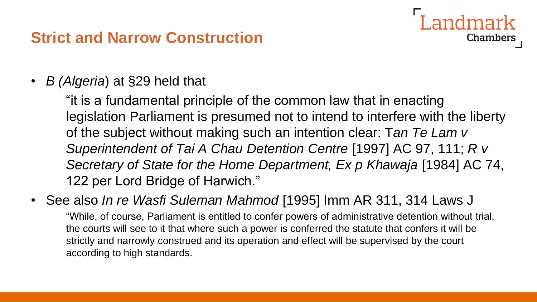## **Strict and Narrow Construction**

• *B (Algeria*) at §29 held that

"it is a fundamental principle of the common law that in enacting legislation Parliament is presumed not to intend to interfere with the liberty of the subject without making such an intention clear: T*an Te Lam v Superintendent of Tai A Chau Detention Centre* [1997] AC 97, 111; *R v Secretary of State for the Home Department, Ex p Khawaja* [1984] AC 74, 122 per Lord Bridge of Harwich."

Landmark

**Chambers** 

• See also *In re Wasfi Suleman Mahmod* [1995] Imm AR 311, 314 Laws J

"While, of course, Parliament is entitled to confer powers of administrative detention without trial, the courts will see to it that where such a power is conferred the statute that confers it will be strictly and narrowly construed and its operation and effect will be supervised by the court according to high standards.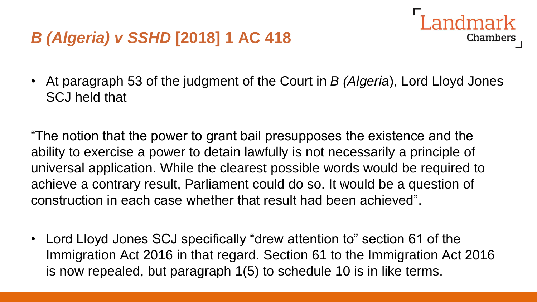• At paragraph 53 of the judgment of the Court in *B (Algeria*), Lord Lloyd Jones SCJ held that

ndmark

**Chambers** 

"The notion that the power to grant bail presupposes the existence and the ability to exercise a power to detain lawfully is not necessarily a principle of universal application. While the clearest possible words would be required to achieve a contrary result, Parliament could do so. It would be a question of construction in each case whether that result had been achieved".

• Lord Lloyd Jones SCJ specifically "drew attention to" section 61 of the Immigration Act 2016 in that regard. Section 61 to the Immigration Act 2016 is now repealed, but paragraph 1(5) to schedule 10 is in like terms.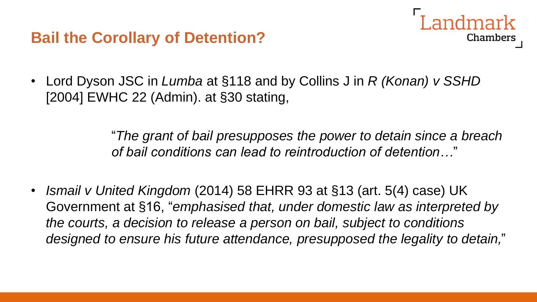

• Lord Dyson JSC in *Lumba* at §118 and by Collins J in *R (Konan) v SSHD*  [2004] EWHC 22 (Admin). at §30 stating,

> "*The grant of bail presupposes the power to detain since a breach of bail conditions can lead to reintroduction of detention…*"

• *Ismail v United Kingdom* (2014) 58 EHRR 93 at §13 (art. 5(4) case) UK Government at §16, "*emphasised that, under domestic law as interpreted by the courts, a decision to release a person on bail, subject to conditions designed to ensure his future attendance, presupposed the legality to detain,*"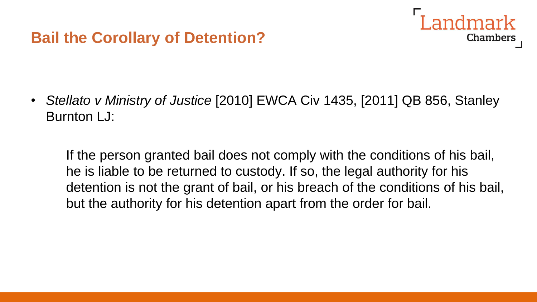

• *Stellato v Ministry of Justice* [2010] EWCA Civ 1435, [2011] QB 856, Stanley Burnton LJ:

If the person granted bail does not comply with the conditions of his bail, he is liable to be returned to custody. If so, the legal authority for his detention is not the grant of bail, or his breach of the conditions of his bail, but the authority for his detention apart from the order for bail.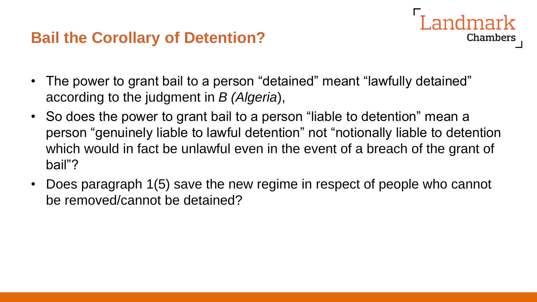## **Bail the Corollary of Detention?**

- The power to grant bail to a person "detained" meant "lawfully detained" according to the judgment in *B (Algeria*),
- So does the power to grant bail to a person "liable to detention" mean a person "genuinely liable to lawful detention" not "notionally liable to detention which would in fact be unlawful even in the event of a breach of the grant of bail"?

**Chambers** 

• Does paragraph 1(5) save the new regime in respect of people who cannot be removed/cannot be detained?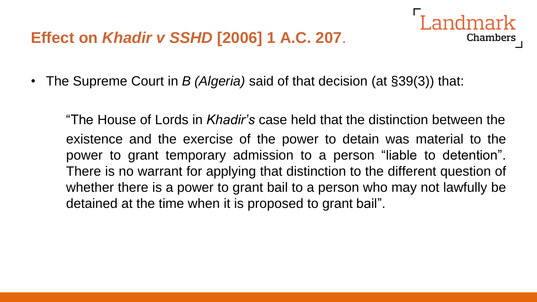## **Effect on** *Khadir v SSHD* **[2006] 1 A.C. 207**.



"The House of Lords in *Khadir's* case held that the distinction between the existence and the exercise of the power to detain was material to the power to grant temporary admission to a person "liable to detention". There is no warrant for applying that distinction to the different question of whether there is a power to grant bail to a person who may not lawfully be detained at the time when it is proposed to grant bail".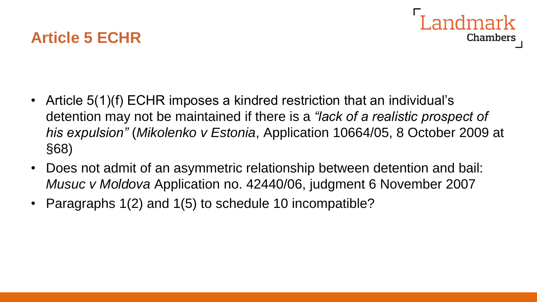



- Article 5(1)(f) ECHR imposes a kindred restriction that an individual's detention may not be maintained if there is a *"lack of a realistic prospect of his expulsion"* (*Mikolenko v Estonia*, Application 10664/05, 8 October 2009 at §68)
- Does not admit of an asymmetric relationship between detention and bail: *Musuc v Moldova* Application no. 42440/06, judgment 6 November 2007
- Paragraphs 1(2) and 1(5) to schedule 10 incompatible?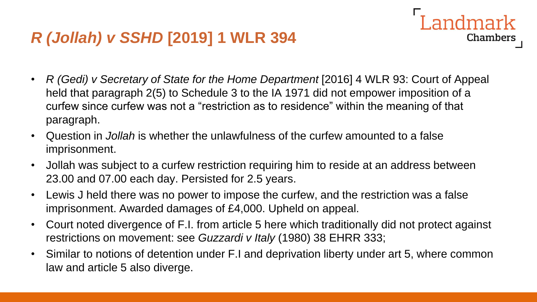## *R (Jollah) v SSHD* **[2019] 1 WLR 394**

• *R (Gedi) v Secretary of State for the Home Department* [2016] 4 WLR 93: Court of Appeal held that paragraph 2(5) to Schedule 3 to the IA 1971 did not empower imposition of a curfew since curfew was not a "restriction as to residence" within the meaning of that paragraph.

**Landmark** 

- Question in *Jollah* is whether the unlawfulness of the curfew amounted to a false imprisonment.
- Jollah was subject to a curfew restriction requiring him to reside at an address between 23.00 and 07.00 each day. Persisted for 2.5 years.
- Lewis J held there was no power to impose the curfew, and the restriction was a false imprisonment. Awarded damages of £4,000. Upheld on appeal.
- Court noted divergence of F.I. from article 5 here which traditionally did not protect against restrictions on movement: see *Guzzardi v Italy* (1980) 38 EHRR 333;
- Similar to notions of detention under F.I and deprivation liberty under art 5, where common law and article 5 also diverge.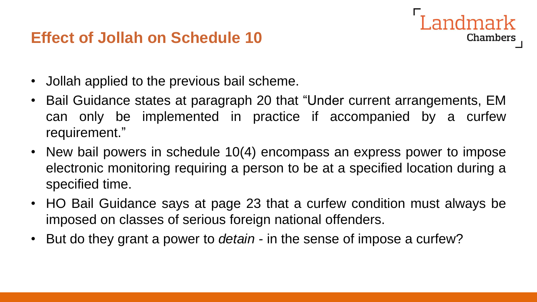## **Effect of Jollah on Schedule 10**



- Jollah applied to the previous bail scheme.
- Bail Guidance states at paragraph 20 that "Under current arrangements, EM can only be implemented in practice if accompanied by a curfew requirement."
- New bail powers in schedule 10(4) encompass an express power to impose electronic monitoring requiring a person to be at a specified location during a specified time.
- HO Bail Guidance says at page 23 that a curfew condition must always be imposed on classes of serious foreign national offenders.
- But do they grant a power to *detain -* in the sense of impose a curfew?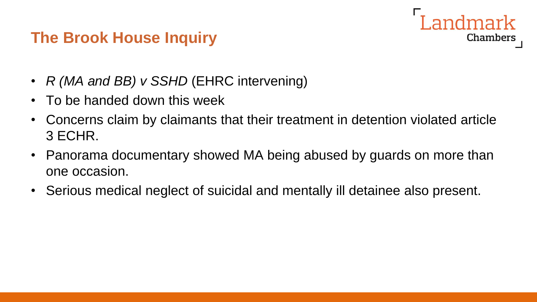# **Chambers**

## **The Brook House Inquiry**

- *R (MA and BB) v SSHD* (EHRC intervening)
- To be handed down this week
- Concerns claim by claimants that their treatment in detention violated article 3 ECHR.
- Panorama documentary showed MA being abused by guards on more than one occasion.
- Serious medical neglect of suicidal and mentally ill detainee also present.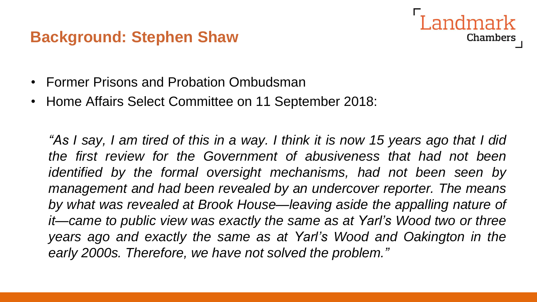#### **Background: Stephen Shaw**

**Chambers** 

- Former Prisons and Probation Ombudsman
- Home Affairs Select Committee on 11 September 2018:

"As I say, I am tired of this in a way. I think it is now 15 years ago that I did *the first review for the Government of abusiveness that had not been identified by the formal oversight mechanisms, had not been seen by management and had been revealed by an undercover reporter. The means by what was revealed at Brook House—leaving aside the appalling nature of it—came to public view was exactly the same as at Yarl's Wood two or three years ago and exactly the same as at Yarl's Wood and Oakington in the early 2000s. Therefore, we have not solved the problem."*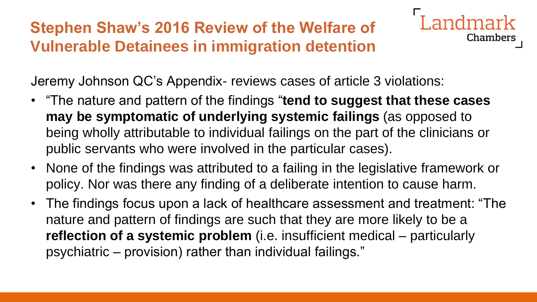## **Stephen Shaw's 2016 Review of the Welfare of Vulnerable Detainees in immigration detention**



Jeremy Johnson QC's Appendix- reviews cases of article 3 violations:

- "The nature and pattern of the findings "**tend to suggest that these cases may be symptomatic of underlying systemic failings** (as opposed to being wholly attributable to individual failings on the part of the clinicians or public servants who were involved in the particular cases).
- None of the findings was attributed to a failing in the legislative framework or policy. Nor was there any finding of a deliberate intention to cause harm.
- The findings focus upon a lack of healthcare assessment and treatment: "The nature and pattern of findings are such that they are more likely to be a **reflection of a systemic problem** (i.e. insufficient medical – particularly psychiatric – provision) rather than individual failings."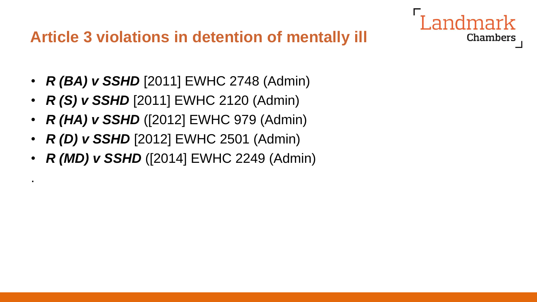## **Article 3 violations in detention of mentally ill**

Chambers

- *R (BA) v SSHD* [2011] EWHC 2748 (Admin)
- *R (S) v SSHD* [2011] EWHC 2120 (Admin)
- *R (HA) v SSHD* ([2012] EWHC 979 (Admin)
- *R (D) v SSHD* [2012] EWHC 2501 (Admin)

.

• *R (MD) v SSHD* ([2014] EWHC 2249 (Admin)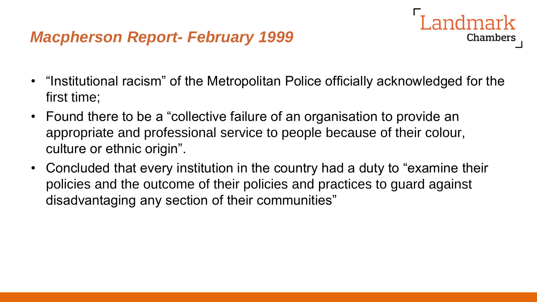## *Macpherson Report- February 1999*

• "Institutional racism" of the Metropolitan Police officially acknowledged for the first time;

- Found there to be a "collective failure of an organisation to provide an appropriate and professional service to people because of their colour, culture or ethnic origin".
- Concluded that every institution in the country had a duty to "examine their policies and the outcome of their policies and practices to guard against disadvantaging any section of their communities"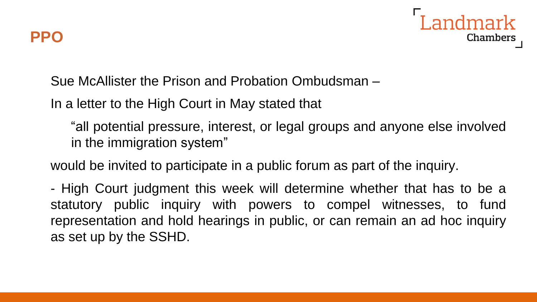

Sue McAllister the Prison and Probation Ombudsman –

In a letter to the High Court in May stated that

"all potential pressure, interest, or legal groups and anyone else involved in the immigration system"

would be invited to participate in a public forum as part of the inquiry.

- High Court judgment this week will determine whether that has to be a statutory public inquiry with powers to compel witnesses, to fund representation and hold hearings in public, or can remain an ad hoc inquiry as set up by the SSHD.